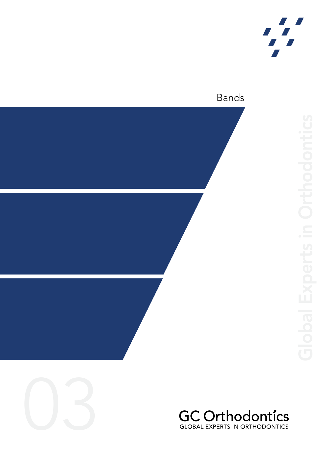

## Bands





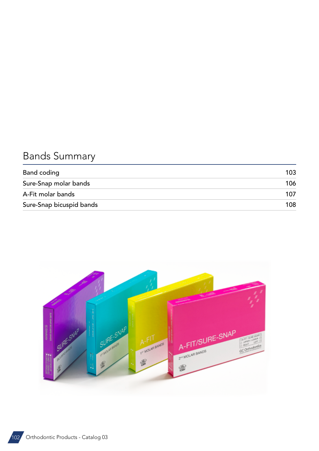# Bands Summary

| Band coding              | 103 |
|--------------------------|-----|
| Sure-Snap molar bands    | 106 |
| A-Fit molar bands        | 107 |
| Sure-Snap bicuspid bands | 108 |

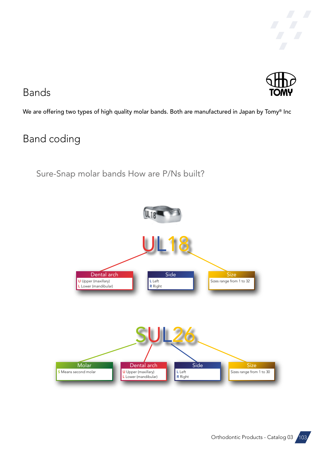



## <span id="page-2-0"></span>Bands

We are offering two types of high quality molar bands. Both are manufactured in Japan by Tomy® Inc

## Band coding

Sure-Snap molar bands How are P/Ns built?



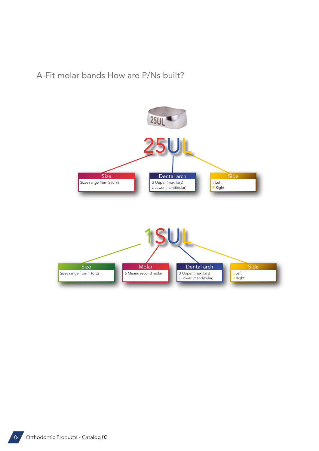A-Fit molar bands How are P/Ns built?



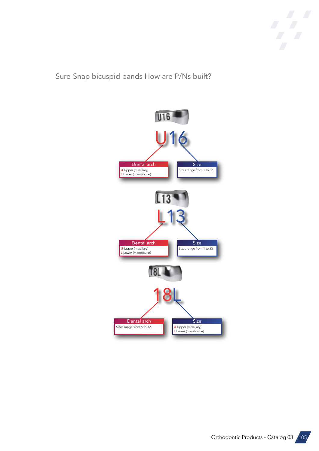

Sure-Snap bicuspid bands How are P/Ns built?



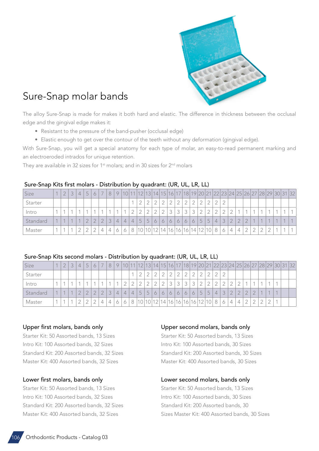

## <span id="page-5-0"></span>Sure-Snap molar bands

The alloy Sure-Snap is made for makes it both hard and elastic. The difference in thickness between the occlusal edge and the gingival edge makes it:

- Resistant to the pressure of the band-pusher (occlusal edge)
- Elastic enough to get over the contour of the teeth without any deformation (gingival edge).

With Sure-Snap, you will get a special anatomy for each type of molar, an easy-to-read permanent marking and an electroeroded intrados for unique retention.

They are available in 32 sizes for 1<sup>st</sup> molars; and in 30 sizes for 2<sup>nd</sup> molars

#### Sure-Snap Kits first molars - Distribution by quadrant: (UR, UL, LR, LL)

| Size     |  |  | $\overline{ }$ | $\overline{\phantom{a}}$ |   |                |                        |                | 12     | 13        |         |                      |               |         |                         |           |                     |    |                |           |                |                |        |            |                          |        |  | 14 15 16 17 18 19 20 21 22 23 24 25 26 27 28 29 30 31 32 |
|----------|--|--|----------------|--------------------------|---|----------------|------------------------|----------------|--------|-----------|---------|----------------------|---------------|---------|-------------------------|-----------|---------------------|----|----------------|-----------|----------------|----------------|--------|------------|--------------------------|--------|--|----------------------------------------------------------|
| Starter  |  |  |                |                          |   |                |                        |                |        | $\cap$    |         |                      |               |         |                         |           |                     |    |                |           |                |                |        |            |                          |        |  |                                                          |
| Intro    |  |  |                |                          |   |                |                        | $\sim$         | $\cap$ | $\bigcap$ | $\cap$  | $\mathcal{D}$        | $\mathcal{L}$ | $\sim$  | $\widehat{\phantom{a}}$ | $\bigcap$ |                     |    |                |           |                |                |        |            |                          |        |  |                                                          |
| Standard |  |  |                | $\cap$                   |   | $\overline{4}$ | $\left 4\right\rangle$ | $\overline{4}$ | 5      | 5         | $\circ$ | 6                    | $\circ$       | $\circ$ | $\circ$                 | $\circ$   | $\overline{ }$<br>5 | 5  | $\overline{4}$ | $\bigcap$ | $\cap$         | $\cap$         | $\cap$ | $\sqrt{2}$ | $\overline{\mathcal{A}}$ |        |  |                                                          |
| Master   |  |  |                | ⊥                        | 4 |                |                        | 8              |        |           |         | 10 10 12 14 16 16 16 |               |         |                         | 14.       | 12                  | 10 |                |           | $\overline{4}$ | $\overline{4}$ | $\cap$ | ◠          | ◠                        | $\cap$ |  |                                                          |

#### Sure-Snap Kits second molars - Distribution by quadrant: (UR, UL, LR, LL)

| Size     | $\cap$ | 4 | $\overline{a}$ | 6 | $\overline{\phantom{a}}$ | 8 |                |                |                |        |                         |               |   |   |   |   |         |   |       |   |   |   |        |        |           |                |        |  | 10 11 12 13 14 15 16 17 18 19 20 21 22 23 24 25 26 27 28 29 30 31 32 |
|----------|--------|---|----------------|---|--------------------------|---|----------------|----------------|----------------|--------|-------------------------|---------------|---|---|---|---|---------|---|-------|---|---|---|--------|--------|-----------|----------------|--------|--|----------------------------------------------------------------------|
| Starter  |        |   |                |   |                          |   |                |                |                |        |                         | $\cap$        |   |   |   |   |         |   |       |   |   |   |        |        |           |                |        |  |                                                                      |
| Intro    |        |   |                |   |                          |   |                |                |                | $\cap$ | $\cap$                  | $\mathcal{D}$ | っ | 3 |   |   |         |   |       |   |   |   |        |        |           |                |        |  |                                                                      |
| Standard |        |   |                |   | $\bigcap$                | 3 | $\overline{4}$ | $\overline{4}$ | $\overline{4}$ | 5      | 5                       | 6             | 6 | 6 | 6 | 6 | $\circ$ | 5 | C     | 4 | 3 |   | $\cap$ | $\cap$ | $\bigcap$ | $\overline{A}$ |        |  |                                                                      |
| Master   |        |   |                |   | 4                        |   |                |                | 8              |        | 10 10 12 14 16 16 16 16 |               |   |   |   |   |         |   | 12 10 | 8 | 6 | 4 | 4      | $\cap$ | $\cap$    | $\cap$         | $\cap$ |  |                                                                      |

#### Upper first molars, bands only

Starter Kit: 50 Assorted bands, 13 Sizes Intro Kit: 100 Assorted bands, 32 Sizes Standard Kit: 200 Assorted bands, 32 Sizes Master Kit: 400 Assorted bands, 32 Sizes

#### Lower first molars, bands only

Starter Kit: 50 Assorted bands, 13 Sizes Intro Kit: 100 Assorted bands, 32 Sizes Standard Kit: 200 Assorted bands, 32 Sizes Master Kit: 400 Assorted bands, 32 Sizes

#### Upper second molars, bands only

Starter Kit: 50 Assorted bands, 13 Sizes Intro Kit: 100 Assorted bands, 30 Sizes Standard Kit: 200 Assorted bands, 30 Sizes Master Kit: 400 Assorted bands, 30 Sizes

#### Lower second molars, bands only

Starter Kit: 50 Assorted bands, 13 Sizes Intro Kit: 100 Assorted bands, 30 Sizes Standard Kit: 200 Assorted bands, 30 Sizes Master Kit: 400 Assorted bands, 30 Sizes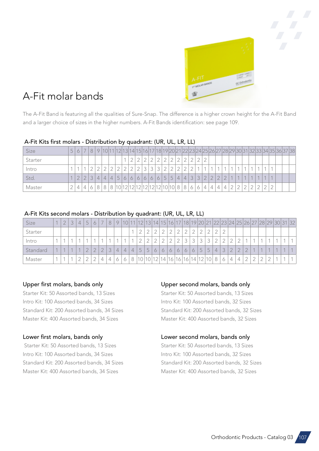

## <span id="page-6-0"></span>A-Fit molar bands

The A-Fit Band is featuring all the qualities of Sure-Snap. The difference is a higher crown height for the A-Fit Band and a larger choice of sizes in the higher numbers. A-Fit Bands identification: see page 109.

## A-Fit Kits first molars - Distribution by quadrant: (UR, UL, LR, LL)

| Size    | 片 |               |        |                |              |   |                                |  |         |                |                |     |                 |        |   |               |        |                |           |             |  |  |  | 1 12 13 14 15 16 17 18 19 20 21 22 23 24 25 26 27 28 29 30 31 32 33 34 35 36 37 38 |  |
|---------|---|---------------|--------|----------------|--------------|---|--------------------------------|--|---------|----------------|----------------|-----|-----------------|--------|---|---------------|--------|----------------|-----------|-------------|--|--|--|------------------------------------------------------------------------------------|--|
| Starter |   |               |        |                |              |   |                                |  |         |                |                |     |                 |        |   |               |        |                |           |             |  |  |  |                                                                                    |  |
| Intro   |   |               |        |                |              |   |                                |  |         | $\circ$        | $\bigcap$      |     |                 | $\cap$ |   |               |        |                |           |             |  |  |  |                                                                                    |  |
| Std.    |   | $\mathcal{D}$ | $\cap$ | $\overline{4}$ | $\downarrow$ | 4 | 5                              |  | $\circ$ | 6 <sup>1</sup> | 6 <sup>1</sup> | 5 5 | $\vert 4 \vert$ | 4 3    | 3 | $\mathcal{D}$ | $\cap$ | $\cap$         | $\bigcap$ |             |  |  |  |                                                                                    |  |
| Master  |   | $\perp$       |        |                |              |   | 10 12 12 12 12 12 12 10 10 8 8 |  |         |                |                |     |                 | 6      | 6 | 4             | 4      | $\overline{4}$ | 4         | $\cap$<br>∠ |  |  |  |                                                                                    |  |

## A-Fit Kits second molars - Distribution by quadrant: (UR, UL, LR, LL)

| Size     |            |  | $\overline{a}$ |        | $\overline{\phantom{a}}$ | $\Omega$ |                |                          |                | 12        | 13                  |        |                 |         |         |                         |           |                |                     | 14 15 16 17 18 19 20 21 22 23 24 25 26 27 28 29 30 31 |               |        |        |           |                |                |                |  | 32 |
|----------|------------|--|----------------|--------|--------------------------|----------|----------------|--------------------------|----------------|-----------|---------------------|--------|-----------------|---------|---------|-------------------------|-----------|----------------|---------------------|-------------------------------------------------------|---------------|--------|--------|-----------|----------------|----------------|----------------|--|----|
| Starter  |            |  |                |        |                          |          |                |                          |                | $\bigcap$ | $\cap$              | $\cap$ |                 |         |         |                         |           |                | ∼                   |                                                       |               |        |        |           |                |                |                |  |    |
| Intro    |            |  |                |        |                          |          |                | $\overline{\phantom{a}}$ |                | $\cap$    | $\cap$              | $\cap$ | $\cap$          |         |         | $\widehat{\phantom{a}}$ | $\bigcap$ | $\bigcap$<br>ٮ | $\bigcap$<br>◡      |                                                       |               |        | $\sim$ |           | $\overline{A}$ |                |                |  |    |
| Standard | $\sqrt{2}$ |  | $\cap$         | $\cap$ | $\cap$                   | $\sim$   | $\overline{4}$ | $\downarrow$             | $\overline{4}$ | 5         | $\overline{ }$<br>5 | 6      | 6               | $\circ$ | $\circ$ | $\circ$                 | $\circ$   | $-$<br>Ċ       | $\overline{ }$<br>5 | $\overline{4}$                                        | $\mathcal{L}$ | $\cap$ | $\cap$ | $\bigcap$ | $\sqrt{2}$     | $\overline{A}$ | $\overline{A}$ |  |    |
| Master   |            |  |                |        | 4                        | 4        |                |                          |                | $\circ$   | 10                  |        | 14 <sub>1</sub> | 16      | 116     | 16<br>$\overline{A}$    | 14        | 12<br>$\angle$ | 10                  |                                                       |               | 4      | ┶      | ⌒         | $\cap$         | $\cap$         | $\cap$         |  |    |

## Upper first molars, bands only

Starter Kit: 50 Assorted bands, 13 Sizes Intro Kit: 100 Assorted bands, 34 Sizes Standard Kit: 200 Assorted bands, 34 Sizes Master Kit: 400 Assorted bands, 34 Sizes

## Lower first molars, bands only

 Starter Kit: 50 Assorted bands, 13 Sizes Intro Kit: 100 Assorted bands, 34 Sizes Standard Kit: 200 Assorted bands, 34 Sizes Master Kit: 400 Assorted bands, 34 Sizes

## Upper second molars, bands only

Starter Kit: 50 Assorted bands, 13 Sizes Intro Kit: 100 Assorted bands, 32 Sizes Standard Kit: 200 Assorted bands, 32 Sizes Master Kit: 400 Assorted bands, 32 Sizes

### Lower second molars, bands only

Starter Kit: 50 Assorted bands, 13 Sizes Intro Kit: 100 Assorted bands, 32 Sizes Standard Kit: 200 Assorted bands, 32 Sizes Master Kit: 400 Assorted bands, 32 Sizes